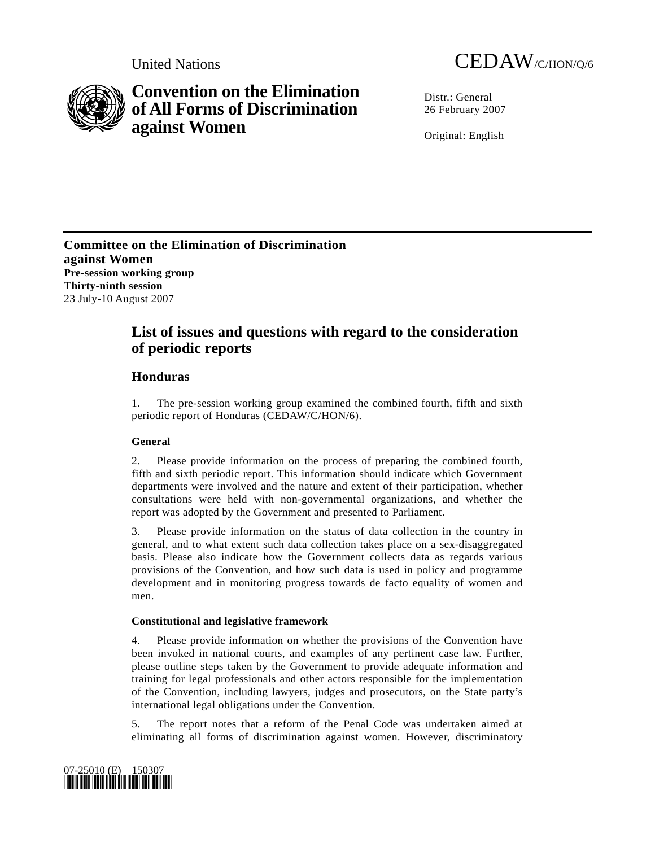



# **Convention on the Elimination of All Forms of Discrimination against Women**

Distr · General 26 February 2007

Original: English

**Committee on the Elimination of Discrimination against Women Pre-session working group Thirty-ninth session**  23 July-10 August 2007

## **List of issues and questions with regard to the consideration of periodic reports**

## **Honduras**

1. The pre-session working group examined the combined fourth, fifth and sixth periodic report of Honduras (CEDAW/C/HON/6).

## **General**

2. Please provide information on the process of preparing the combined fourth, fifth and sixth periodic report. This information should indicate which Government departments were involved and the nature and extent of their participation, whether consultations were held with non-governmental organizations, and whether the report was adopted by the Government and presented to Parliament.

3. Please provide information on the status of data collection in the country in general, and to what extent such data collection takes place on a sex-disaggregated basis. Please also indicate how the Government collects data as regards various provisions of the Convention, and how such data is used in policy and programme development and in monitoring progress towards de facto equality of women and men.

### **Constitutional and legislative framework**

4. Please provide information on whether the provisions of the Convention have been invoked in national courts, and examples of any pertinent case law. Further, please outline steps taken by the Government to provide adequate information and training for legal professionals and other actors responsible for the implementation of the Convention, including lawyers, judges and prosecutors, on the State party's international legal obligations under the Convention.

5. The report notes that a reform of the Penal Code was undertaken aimed at eliminating all forms of discrimination against women. However, discriminatory

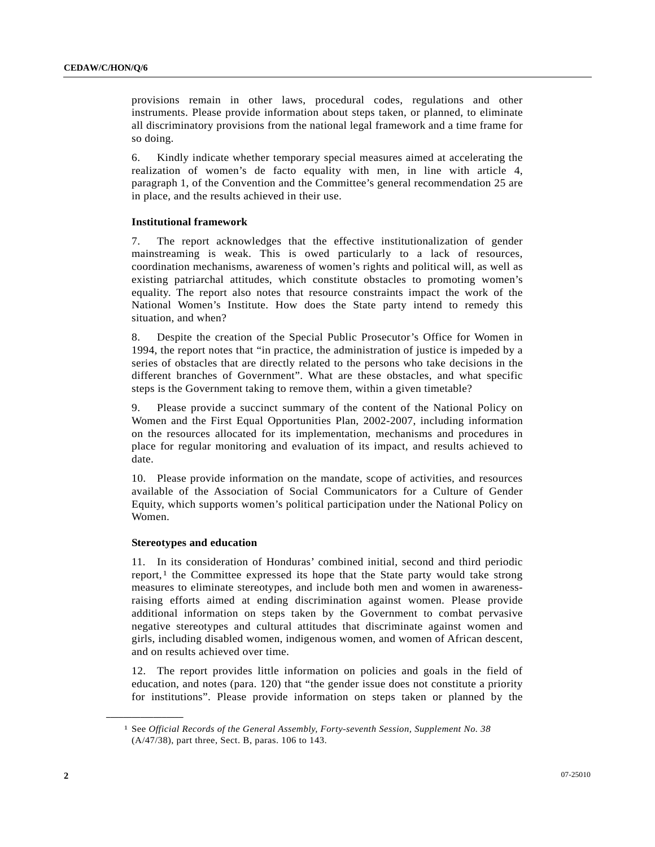provisions remain in other laws, procedural codes, regulations and other instruments. Please provide information about steps taken, or planned, to eliminate all discriminatory provisions from the national legal framework and a time frame for so doing.

6. Kindly indicate whether temporary special measures aimed at accelerating the realization of women's de facto equality with men, in line with article 4, paragraph 1, of the Convention and the Committee's general recommendation 25 are in place, and the results achieved in their use.

#### **Institutional framework**

7. The report acknowledges that the effective institutionalization of gender mainstreaming is weak. This is owed particularly to a lack of resources, coordination mechanisms, awareness of women's rights and political will, as well as existing patriarchal attitudes, which constitute obstacles to promoting women's equality. The report also notes that resource constraints impact the work of the National Women's Institute. How does the State party intend to remedy this situation, and when?

8. Despite the creation of the Special Public Prosecutor's Office for Women in 1994, the report notes that "in practice, the administration of justice is impeded by a series of obstacles that are directly related to the persons who take decisions in the different branches of Government". What are these obstacles, and what specific steps is the Government taking to remove them, within a given timetable?

9. Please provide a succinct summary of the content of the National Policy on Women and the First Equal Opportunities Plan, 2002-2007, including information on the resources allocated for its implementation, mechanisms and procedures in place for regular monitoring and evaluation of its impact, and results achieved to date.

10. Please provide information on the mandate, scope of activities, and resources available of the Association of Social Communicators for a Culture of Gender Equity, which supports women's political participation under the National Policy on Women.

#### **Stereotypes and education**

<span id="page-1-0"></span>**\_\_\_\_\_\_\_\_\_\_\_\_\_\_\_\_\_\_** 

11. In its consideration of Honduras' combined initial, second and third periodic report, $<sup>1</sup>$  $<sup>1</sup>$  $<sup>1</sup>$  the Committee expressed its hope that the State party would take strong</sup> measures to eliminate stereotypes, and include both men and women in awarenessraising efforts aimed at ending discrimination against women. Please provide additional information on steps taken by the Government to combat pervasive negative stereotypes and cultural attitudes that discriminate against women and girls, including disabled women, indigenous women, and women of African descent, and on results achieved over time.

12. The report provides little information on policies and goals in the field of education, and notes (para. 120) that "the gender issue does not constitute a priority for institutions". Please provide information on steps taken or planned by the

<sup>1</sup> See *Official Records of the General Assembly, Forty-seventh Session, Supplement No. 38* (A/47/38), part three, Sect. B, paras. 106 to 143.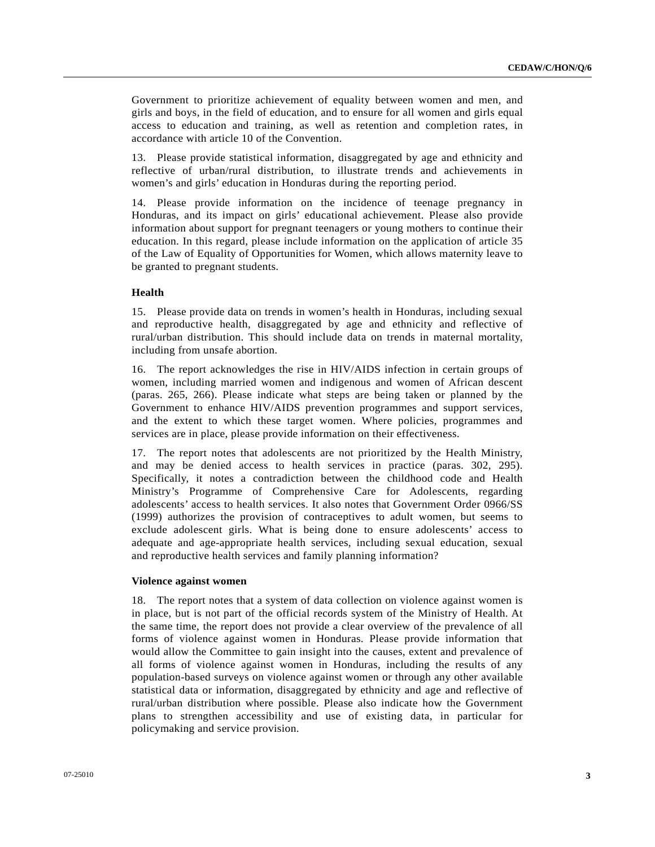Government to prioritize achievement of equality between women and men, and girls and boys, in the field of education, and to ensure for all women and girls equal access to education and training, as well as retention and completion rates, in accordance with article 10 of the Convention.

13. Please provide statistical information, disaggregated by age and ethnicity and reflective of urban/rural distribution, to illustrate trends and achievements in women's and girls' education in Honduras during the reporting period.

14. Please provide information on the incidence of teenage pregnancy in Honduras, and its impact on girls' educational achievement. Please also provide information about support for pregnant teenagers or young mothers to continue their education. In this regard, please include information on the application of article 35 of the Law of Equality of Opportunities for Women, which allows maternity leave to be granted to pregnant students.

#### **Health**

15. Please provide data on trends in women's health in Honduras, including sexual and reproductive health, disaggregated by age and ethnicity and reflective of rural/urban distribution. This should include data on trends in maternal mortality, including from unsafe abortion.

16. The report acknowledges the rise in HIV/AIDS infection in certain groups of women, including married women and indigenous and women of African descent (paras. 265, 266). Please indicate what steps are being taken or planned by the Government to enhance HIV/AIDS prevention programmes and support services, and the extent to which these target women. Where policies, programmes and services are in place, please provide information on their effectiveness.

17. The report notes that adolescents are not prioritized by the Health Ministry, and may be denied access to health services in practice (paras. 302, 295). Specifically, it notes a contradiction between the childhood code and Health Ministry's Programme of Comprehensive Care for Adolescents, regarding adolescents' access to health services. It also notes that Government Order 0966/SS (1999) authorizes the provision of contraceptives to adult women, but seems to exclude adolescent girls. What is being done to ensure adolescents' access to adequate and age-appropriate health services, including sexual education, sexual and reproductive health services and family planning information?

#### **Violence against women**

18. The report notes that a system of data collection on violence against women is in place, but is not part of the official records system of the Ministry of Health. At the same time, the report does not provide a clear overview of the prevalence of all forms of violence against women in Honduras. Please provide information that would allow the Committee to gain insight into the causes, extent and prevalence of all forms of violence against women in Honduras, including the results of any population-based surveys on violence against women or through any other available statistical data or information, disaggregated by ethnicity and age and reflective of rural/urban distribution where possible. Please also indicate how the Government plans to strengthen accessibility and use of existing data, in particular for policymaking and service provision.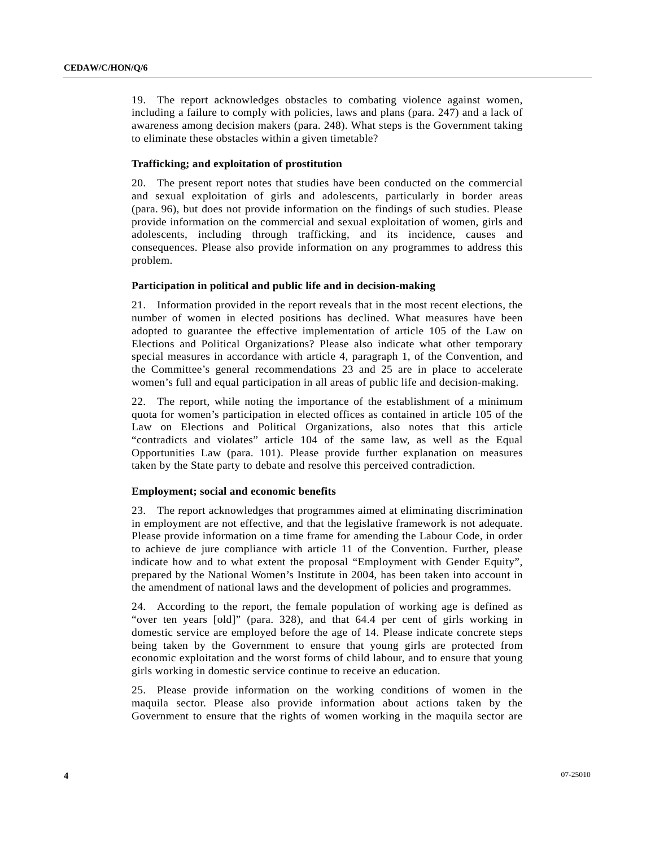19. The report acknowledges obstacles to combating violence against women, including a failure to comply with policies, laws and plans (para. 247) and a lack of awareness among decision makers (para. 248). What steps is the Government taking to eliminate these obstacles within a given timetable?

#### **Trafficking; and exploitation of prostitution**

20. The present report notes that studies have been conducted on the commercial and sexual exploitation of girls and adolescents, particularly in border areas (para. 96), but does not provide information on the findings of such studies. Please provide information on the commercial and sexual exploitation of women, girls and adolescents, including through trafficking, and its incidence, causes and consequences. Please also provide information on any programmes to address this problem.

#### **Participation in political and public life and in decision-making**

21. Information provided in the report reveals that in the most recent elections, the number of women in elected positions has declined. What measures have been adopted to guarantee the effective implementation of article 105 of the Law on Elections and Political Organizations? Please also indicate what other temporary special measures in accordance with article 4, paragraph 1, of the Convention, and the Committee's general recommendations 23 and 25 are in place to accelerate women's full and equal participation in all areas of public life and decision-making.

22. The report, while noting the importance of the establishment of a minimum quota for women's participation in elected offices as contained in article 105 of the Law on Elections and Political Organizations, also notes that this article "contradicts and violates" article 104 of the same law, as well as the Equal Opportunities Law (para. 101). Please provide further explanation on measures taken by the State party to debate and resolve this perceived contradiction.

#### **Employment; social and economic benefits**

23. The report acknowledges that programmes aimed at eliminating discrimination in employment are not effective, and that the legislative framework is not adequate. Please provide information on a time frame for amending the Labour Code, in order to achieve de jure compliance with article 11 of the Convention. Further, please indicate how and to what extent the proposal "Employment with Gender Equity", prepared by the National Women's Institute in 2004, has been taken into account in the amendment of national laws and the development of policies and programmes.

24. According to the report, the female population of working age is defined as "over ten years [old]" (para. 328), and that 64.4 per cent of girls working in domestic service are employed before the age of 14. Please indicate concrete steps being taken by the Government to ensure that young girls are protected from economic exploitation and the worst forms of child labour, and to ensure that young girls working in domestic service continue to receive an education.

25. Please provide information on the working conditions of women in the maquila sector. Please also provide information about actions taken by the Government to ensure that the rights of women working in the maquila sector are